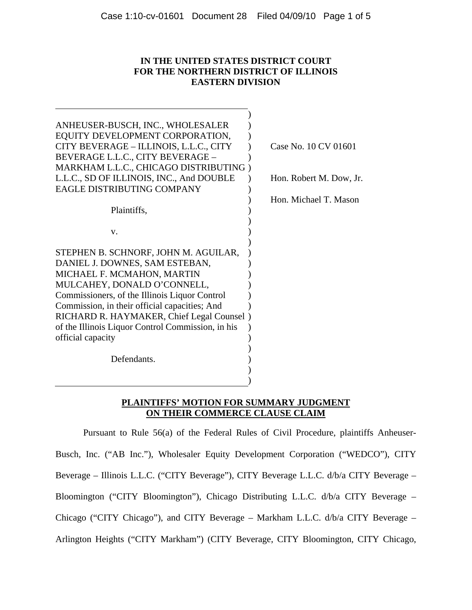# **IN THE UNITED STATES DISTRICT COURT FOR THE NORTHERN DISTRICT OF ILLINOIS EASTERN DIVISION**

| ANHEUSER-BUSCH, INC., WHOLESALER<br>EQUITY DEVELOPMENT CORPORATION,<br>CITY BEVERAGE - ILLINOIS, L.L.C., CITY<br>BEVERAGE L.L.C., CITY BEVERAGE -<br>MARKHAM L.L.C., CHICAGO DISTRIBUTING)<br>L.L.C., SD OF ILLINOIS, INC., And DOUBLE | Case No. 10 CV 01601<br>Hon. Robert M. Dow, Jr. |
|----------------------------------------------------------------------------------------------------------------------------------------------------------------------------------------------------------------------------------------|-------------------------------------------------|
| <b>EAGLE DISTRIBUTING COMPANY</b>                                                                                                                                                                                                      |                                                 |
|                                                                                                                                                                                                                                        | Hon. Michael T. Mason                           |
| Plaintiffs,                                                                                                                                                                                                                            |                                                 |
|                                                                                                                                                                                                                                        |                                                 |
| V.                                                                                                                                                                                                                                     |                                                 |
|                                                                                                                                                                                                                                        |                                                 |
| STEPHEN B. SCHNORF, JOHN M. AGUILAR,                                                                                                                                                                                                   |                                                 |
| DANIEL J. DOWNES, SAM ESTEBAN,                                                                                                                                                                                                         |                                                 |
| MICHAEL F. MCMAHON, MARTIN                                                                                                                                                                                                             |                                                 |
| MULCAHEY, DONALD O'CONNELL,                                                                                                                                                                                                            |                                                 |
| Commissioners, of the Illinois Liquor Control                                                                                                                                                                                          |                                                 |
| Commission, in their official capacities; And                                                                                                                                                                                          |                                                 |
| RICHARD R. HAYMAKER, Chief Legal Counsel)                                                                                                                                                                                              |                                                 |
| of the Illinois Liquor Control Commission, in his                                                                                                                                                                                      |                                                 |
| official capacity                                                                                                                                                                                                                      |                                                 |
|                                                                                                                                                                                                                                        |                                                 |
| Defendants.                                                                                                                                                                                                                            |                                                 |
|                                                                                                                                                                                                                                        |                                                 |
|                                                                                                                                                                                                                                        |                                                 |
|                                                                                                                                                                                                                                        |                                                 |

## **PLAINTIFFS' MOTION FOR SUMMARY JUDGMENT ON THEIR COMMERCE CLAUSE CLAIM**

Pursuant to Rule 56(a) of the Federal Rules of Civil Procedure, plaintiffs Anheuser-Busch, Inc. ("AB Inc."), Wholesaler Equity Development Corporation ("WEDCO"), CITY Beverage – Illinois L.L.C. ("CITY Beverage"), CITY Beverage L.L.C. d/b/a CITY Beverage – Bloomington ("CITY Bloomington"), Chicago Distributing L.L.C. d/b/a CITY Beverage – Chicago ("CITY Chicago"), and CITY Beverage – Markham L.L.C. d/b/a CITY Beverage – Arlington Heights ("CITY Markham") (CITY Beverage, CITY Bloomington, CITY Chicago,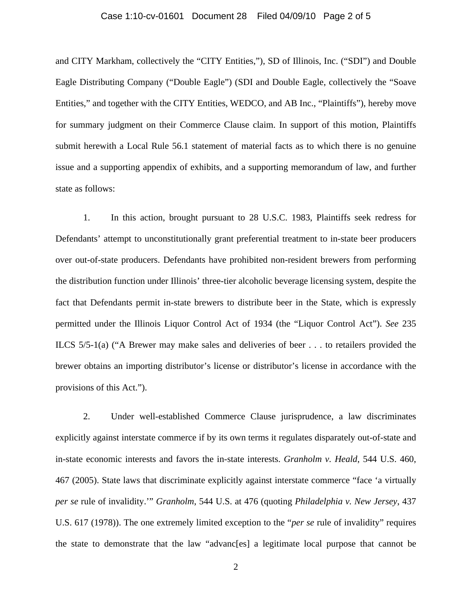#### Case 1:10-cv-01601 Document 28 Filed 04/09/10 Page 2 of 5

and CITY Markham, collectively the "CITY Entities,"), SD of Illinois, Inc. ("SDI") and Double Eagle Distributing Company ("Double Eagle") (SDI and Double Eagle, collectively the "Soave Entities," and together with the CITY Entities, WEDCO, and AB Inc., "Plaintiffs"), hereby move for summary judgment on their Commerce Clause claim. In support of this motion, Plaintiffs submit herewith a Local Rule 56.1 statement of material facts as to which there is no genuine issue and a supporting appendix of exhibits, and a supporting memorandum of law, and further state as follows:

1. In this action, brought pursuant to 28 U.S.C. 1983, Plaintiffs seek redress for Defendants' attempt to unconstitutionally grant preferential treatment to in-state beer producers over out-of-state producers. Defendants have prohibited non-resident brewers from performing the distribution function under Illinois' three-tier alcoholic beverage licensing system, despite the fact that Defendants permit in-state brewers to distribute beer in the State, which is expressly permitted under the Illinois Liquor Control Act of 1934 (the "Liquor Control Act"). *See* 235 ILCS 5/5-1(a) ("A Brewer may make sales and deliveries of beer . . . to retailers provided the brewer obtains an importing distributor's license or distributor's license in accordance with the provisions of this Act.").

2. Under well-established Commerce Clause jurisprudence, a law discriminates explicitly against interstate commerce if by its own terms it regulates disparately out-of-state and in-state economic interests and favors the in-state interests. *Granholm v. Heald*, 544 U.S. 460, 467 (2005). State laws that discriminate explicitly against interstate commerce "face 'a virtually *per se* rule of invalidity.'" *Granholm*, 544 U.S. at 476 (quoting *Philadelphia v. New Jersey*, 437 U.S. 617 (1978)). The one extremely limited exception to the "*per se* rule of invalidity" requires the state to demonstrate that the law "advanc[es] a legitimate local purpose that cannot be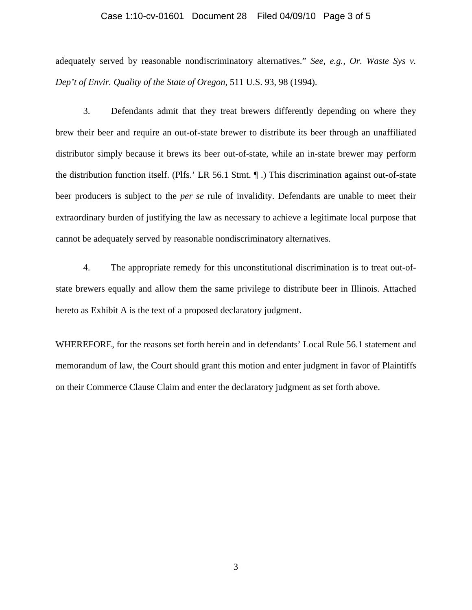#### Case 1:10-cv-01601 Document 28 Filed 04/09/10 Page 3 of 5

adequately served by reasonable nondiscriminatory alternatives." *See, e.g., Or. Waste Sys v. Dep't of Envir. Quality of the State of Oregon*, 511 U.S. 93, 98 (1994).

3. Defendants admit that they treat brewers differently depending on where they brew their beer and require an out-of-state brewer to distribute its beer through an unaffiliated distributor simply because it brews its beer out-of-state, while an in-state brewer may perform the distribution function itself. (Plfs.' LR 56.1 Stmt. ¶ .) This discrimination against out-of-state beer producers is subject to the *per se* rule of invalidity. Defendants are unable to meet their extraordinary burden of justifying the law as necessary to achieve a legitimate local purpose that cannot be adequately served by reasonable nondiscriminatory alternatives.

4. The appropriate remedy for this unconstitutional discrimination is to treat out-ofstate brewers equally and allow them the same privilege to distribute beer in Illinois. Attached hereto as Exhibit A is the text of a proposed declaratory judgment.

WHEREFORE, for the reasons set forth herein and in defendants' Local Rule 56.1 statement and memorandum of law, the Court should grant this motion and enter judgment in favor of Plaintiffs on their Commerce Clause Claim and enter the declaratory judgment as set forth above.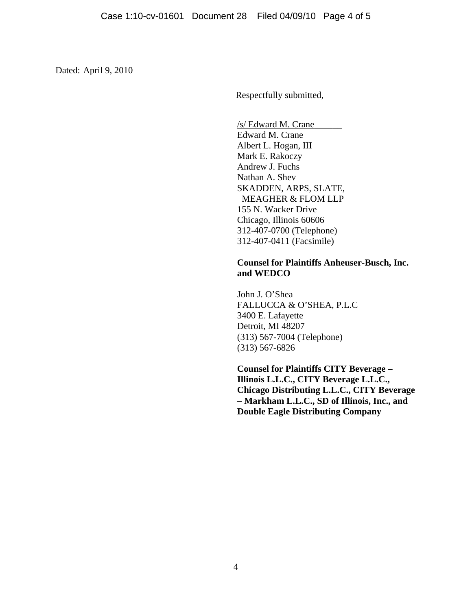Dated: April 9, 2010

Respectfully submitted,

/s/ Edward M. Crane\_\_\_\_\_\_ Edward M. Crane Albert L. Hogan, III Mark E. Rakoczy Andrew J. Fuchs Nathan A. Shev SKADDEN, ARPS, SLATE, MEAGHER & FLOM LLP 155 N. Wacker Drive Chicago, Illinois 60606 312-407-0700 (Telephone) 312-407-0411 (Facsimile)

## **Counsel for Plaintiffs Anheuser-Busch, Inc. and WEDCO**

John J. O'Shea FALLUCCA & O'SHEA, P.L.C 3400 E. Lafayette Detroit, MI 48207 (313) 567-7004 (Telephone) (313) 567-6826

**Counsel for Plaintiffs CITY Beverage – Illinois L.L.C., CITY Beverage L.L.C., Chicago Distributing L.L.C., CITY Beverage – Markham L.L.C., SD of Illinois, Inc., and Double Eagle Distributing Company**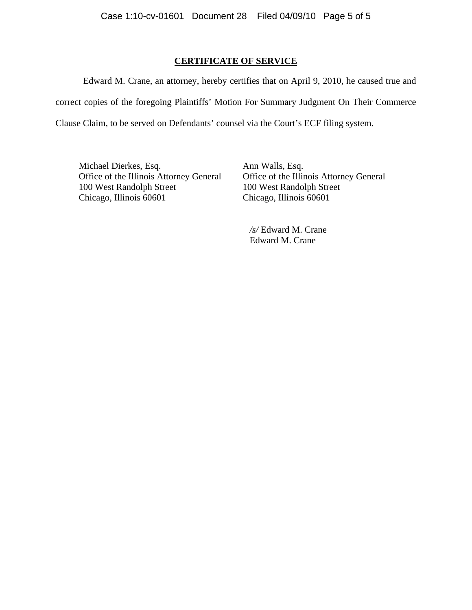## **CERTIFICATE OF SERVICE**

Edward M. Crane, an attorney, hereby certifies that on April 9, 2010, he caused true and correct copies of the foregoing Plaintiffs' Motion For Summary Judgment On Their Commerce Clause Claim, to be served on Defendants' counsel via the Court's ECF filing system.

Michael Dierkes, Esq. Ann Walls, Esq. Office of the Illinois Attorney General Office of the Illinois Attorney General 100 West Randolph Street 100 West Randolph Street Chicago, Illinois 60601 Chicago, Illinois 60601

*/s/* Edward M. Crane Edward M. Crane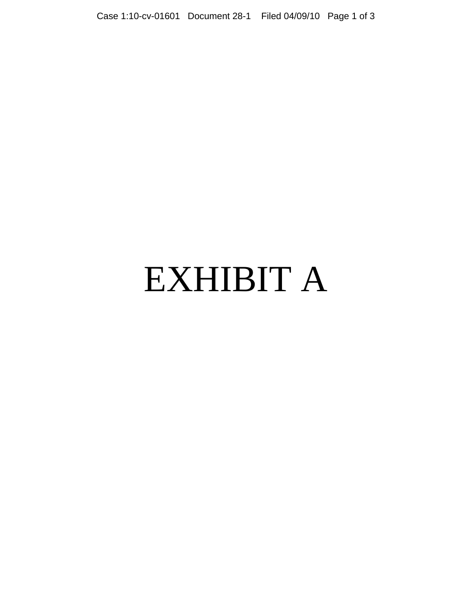# EXHIBIT A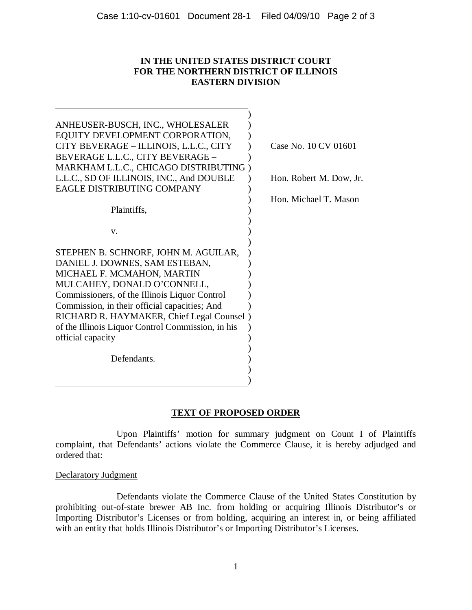# **IN THE UNITED STATES DISTRICT COURT FOR THE NORTHERN DISTRICT OF ILLINOIS EASTERN DIVISION**

| ANHEUSER-BUSCH, INC., WHOLESALER                  |                         |
|---------------------------------------------------|-------------------------|
| EQUITY DEVELOPMENT CORPORATION,                   |                         |
| CITY BEVERAGE - ILLINOIS, L.L.C., CITY            | Case No. 10 CV 01601    |
| BEVERAGE L.L.C., CITY BEVERAGE -                  |                         |
| MARKHAM L.L.C., CHICAGO DISTRIBUTING              |                         |
| L.L.C., SD OF ILLINOIS, INC., And DOUBLE          | Hon. Robert M. Dow, Jr. |
| <b>EAGLE DISTRIBUTING COMPANY</b>                 |                         |
|                                                   | Hon. Michael T. Mason   |
| Plaintiffs,                                       |                         |
|                                                   |                         |
| V.                                                |                         |
|                                                   |                         |
| STEPHEN B. SCHNORF, JOHN M. AGUILAR,              |                         |
| DANIEL J. DOWNES, SAM ESTEBAN,                    |                         |
| MICHAEL F. MCMAHON, MARTIN                        |                         |
| MULCAHEY, DONALD O'CONNELL,                       |                         |
| Commissioners, of the Illinois Liquor Control     |                         |
| Commission, in their official capacities; And     |                         |
| RICHARD R. HAYMAKER, Chief Legal Counsel)         |                         |
| of the Illinois Liquor Control Commission, in his |                         |
| official capacity                                 |                         |
|                                                   |                         |
| Defendants.                                       |                         |
|                                                   |                         |
|                                                   |                         |

# **TEXT OF PROPOSED ORDER**

Upon Plaintiffs' motion for summary judgment on Count I of Plaintiffs complaint, that Defendants' actions violate the Commerce Clause, it is hereby adjudged and ordered that:

Declaratory Judgment

Defendants violate the Commerce Clause of the United States Constitution by prohibiting out-of-state brewer AB Inc. from holding or acquiring Illinois Distributor's or Importing Distributor's Licenses or from holding, acquiring an interest in, or being affiliated with an entity that holds Illinois Distributor's or Importing Distributor's Licenses.